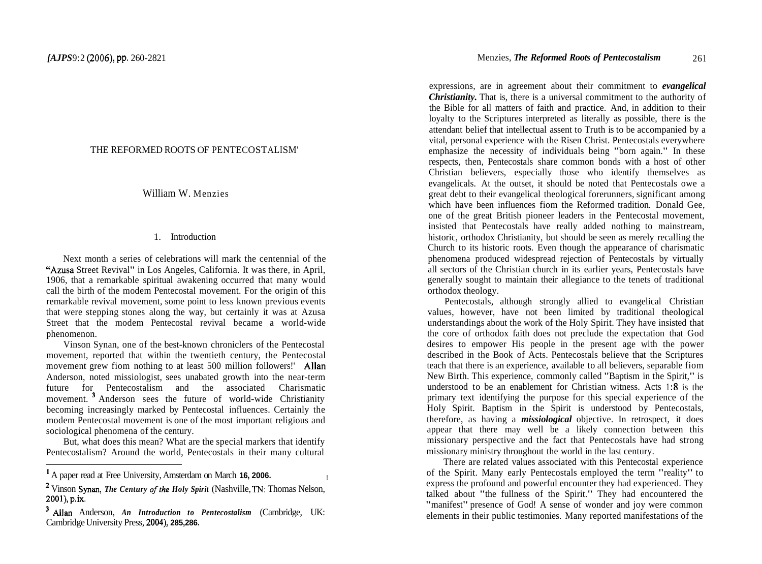# THE REFORMED ROOTS OF PENTECOSTALISM'

William W. Menzies

## 1. Introduction

Next month a series of celebrations will mark the centennial of the "Azusa Street Revival" in Los Angeles, California. It was there, in April, 1906, that a remarkable spiritual awakening occurred that many would call the birth of the modem Pentecostal movement. For the origin of this remarkable revival movement, some point to less known previous events that were stepping stones along the way, but certainly it was at Azusa Street that the modem Pentecostal revival became a world-wide phenomenon.

Vinson Synan, one of the best-known chroniclers of the Pentecostal movement, reported that within the twentieth century, the Pentecostal movement grew fiom nothing to at least 500 million followers!' Allan Anderson, noted missiologist, sees unabated growth into the near-term future for Pentecostalism and the associated Charismatic movement.<sup>3</sup> Anderson sees the future of world-wide Christianity becoming increasingly marked by Pentecostal influences. Certainly the modem Pentecostal movement is one of the most important religious and sociological phenomena of the century.

But, what does this mean? What are the special markers that identify Pentecostalism? Around the world, Pentecostals in their many cultural

expressions, are in agreement about their commitment to *evangelical Christianity.* That is, there is a universal commitment to the authority of the Bible for all matters of faith and practice. And, in addition to their loyalty to the Scriptures interpreted as literally as possible, there is the attendant belief that intellectual assent to Truth is to be accompanied by a vital, personal experience with the Risen Christ. Pentecostals everywhere emphasize the necessity of individuals being "born again." In these respects, then, Pentecostals share common bonds with a host of other Christian believers, especially those who identify themselves as evangelicals. At the outset, it should be noted that Pentecostals owe a great debt to their evangelical theological forerunners, significant among which have been influences fiom the Reformed tradition. Donald Gee, one of the great British pioneer leaders in the Pentecostal movement, insisted that Pentecostals have really added nothing to mainstream, historic, orthodox Christianity, but should be seen as merely recalling the Church to its historic roots. Even though the appearance of charismatic phenomena produced widespread rejection of Pentecostals by virtually all sectors of the Christian church in its earlier years, Pentecostals have generally sought to maintain their allegiance to the tenets of traditional orthodox theology.

Pentecostals, although strongly allied to evangelical Christian values, however, have not been limited by traditional theological understandings about the work of the Holy Spirit. They have insisted that the core of orthodox faith does not preclude the expectation that God desires to empower His people in the present age with the power described in the Book of Acts. Pentecostals believe that the Scriptures teach that there is an experience, available to all believers, separable fiom New Birth. This experience, commonly called "Baptism in the Spirit," is understood to be an enablement for Christian witness. Acts 1:8 is the primary text identifying the purpose for this special experience of the Holy Spirit. Baptism in the Spirit is understood by Pentecostals, therefore, as having a *missiological* objective. In retrospect, it does appear that there may well be a likely connection between this missionary perspective and the fact that Pentecostals have had strong missionary ministry throughout the world in the last century.

There are related values associated with this Pentecostal experience of the Spirit. Many early Pentecostals employed the term "reality" to express the profound and powerful encounter they had experienced. They talked about "the fullness of the Spirit." They had encountered the "manifest" presence of God! A sense of wonder and joy were common elements in their public testimonies. Many reported manifestations of the

<sup>&#</sup>x27; A paper read at Free University, Amsterdam on March **16, 2006.** <sup>I</sup>

<sup>&</sup>lt;sup>2</sup> Vinson Synan, *The Century of the Holy Spirit* (Nashville, TN: Thomas Nelson, **2001),** p.ix.

Allan Anderson, *An Introduction to Pentecostalism* (Cambridge, UK: Cambridge University Press, **2004), 285,286.**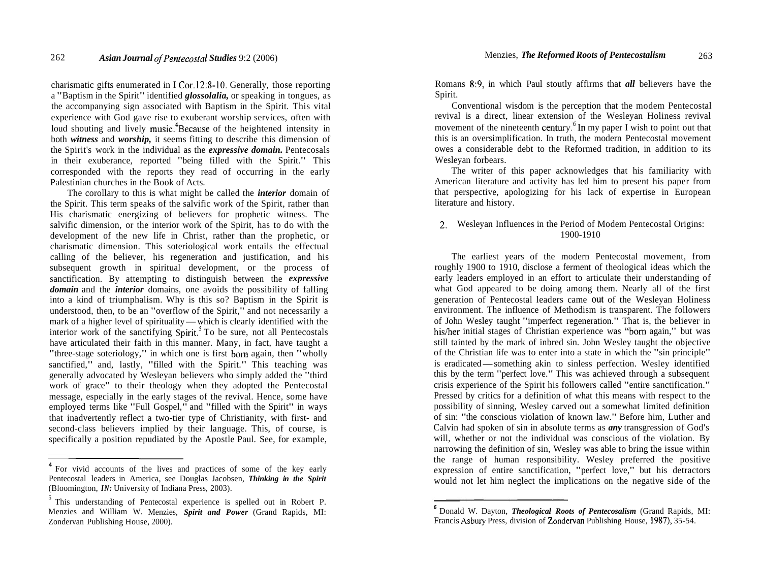charismatic gifts enumerated in I Cor.12:8-10. Generally, those reporting a "Baptism in the Spirit" identified *glossolalia,* or speaking in tongues, as the accompanying sign associated with Baptism in the Spirit. This vital experience with God gave rise to exuberant worship services, often with loud shouting and lively music.<sup>4</sup>Because of the heightened intensity in both *witness* and *worship,* it seems fitting to describe this dimension of the Spirit's work in the individual as the *expressive domain.* Pentecosals in their exuberance, reported "being filled with the Spirit." This corresponded with the reports they read of occurring in the early Palestinian churches in the Book of Acts.

The corollary to this is what might be called the *interior* domain of the Spirit. This term speaks of the salvific work of the Spirit, rather than His charismatic energizing of believers for prophetic witness. The salvific dimension, or the interior work of the Spirit, has to do with the development of the new life in Christ, rather than the prophetic, or charismatic dimension. This soteriological work entails the effectual calling of the believer, his regeneration and justification, and his subsequent growth in spiritual development, or the process of sanctification. By attempting to distinguish between the *expressive domain* and the *interior* domains, one avoids the possibility of falling into a kind of triumphalism. Why is this so? Baptism in the Spirit is understood, then, to be an "overflow of the Spirit," and not necessarily a mark of a higher level of spirituality — which is clearly identified with the interior work of the sanctifying Spirit.<sup>5</sup> To be sure, not all Pentecostals have articulated their faith in this manner. Many, in fact, have taught a "three-stage soteriology," in which one is first born again, then "wholly sanctified," and, lastly, "filled with the Spirit." This teaching was generally advocated by Wesleyan believers who simply added the "third work of grace" to their theology when they adopted the Pentecostal message, especially in the early stages of the revival. Hence, some have employed terms like "Full Gospel," and "filled with the Spirit" in ways that inadvertently reflect a two-tier type of Christianity, with first- and second-class believers implied by their language. This, of course, is specifically a position repudiated by the Apostle Paul. See, for example,

Romans 8:9, in which Paul stoutly affirms that *all* believers have the Spirit.

Conventional wisdom is the perception that the modem Pentecostal revival is a direct, linear extension of the Wesleyan Holiness revival movement of the nineteenth century. ${}^{6}$  In my paper I wish to point out that this is an oversimplification. In truth, the modern Pentecostal movement owes a considerable debt to the Reformed tradition, in addition to its Wesleyan forbears.

The writer of this paper acknowledges that his familiarity with American literature and activity has led him to present his paper from that perspective, apologizing for his lack of expertise in European literature and history.

# 2. Wesleyan Influences in the Period of Modem Pentecostal Origins: 1900-1910

The earliest years of the modern Pentecostal movement, from roughly 1900 to 1910, disclose a ferment of theological ideas which the early leaders employed in an effort to articulate their understanding of what God appeared to be doing among them. Nearly all of the first generation of Pentecostal leaders came out of the Wesleyan Holiness environment. The influence of Methodism is transparent. The followers of John Wesley taught "imperfect regeneration." That is, the believer in his/her initial stages of Christian experience was "born again," but was still tainted by the mark of inbred sin. John Wesley taught the objective of the Christian life was to enter into a state in which the "sin principle" still tainted by the mark of inbred sin. John Wesley taught the objective<br>of the Christian life was to enter into a state in which the "sin principle"<br>is eradicated—something akin to sinless perfection. Wesley identified<br>t this by the term "perfect love." This was achieved through a subsequent crisis experience of the Spirit his followers called "entire sanctification." Pressed by critics for a definition of what this means with respect to the possibility of sinning, Wesley carved out a somewhat limited definition of sin: "the conscious violation of known law." Before him, Luther and Calvin had spoken of sin in absolute terms as *any* transgression of God's will, whether or not the individual was conscious of the violation. By narrowing the definition of sin, Wesley was able to bring the issue within the range of human responsibility. Wesley preferred the positive expression of entire sanctification, "perfect love," but his detractors would not let him neglect the implications on the negative side of the

<sup>&</sup>lt;sup>4</sup> For vivid accounts of the lives and practices of some of the key early Pentecostal leaders in America, see Douglas Jacobsen, *Thinking in the Spirit*  (Bloomington, *IN:* University of Indiana Press, 2003).

<sup>5</sup> This understanding of Pentecostal experience is spelled out in Robert P. Menzies and William W. Menzies, *Spirit and Power* (Grand Rapids, MI: Zondervan Publishing House, 2000).

**<sup>6</sup>**Donald W. Dayton, *Theological Roots of Pentecosalism* (Grand Rapids, MI: Francis Asbury Press, division of Zondervan Publishing House, **1987),** 35-54.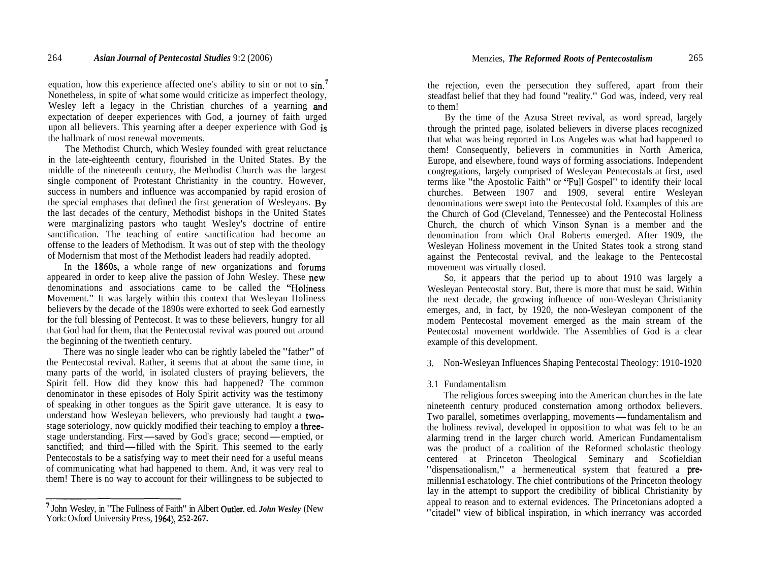equation, how this experience affected one's ability to sin or not to sin.' Nonetheless, in spite of what some would criticize as imperfect theology, Wesley left a legacy in the Christian churches of a yearning and expectation of deeper experiences with God, a journey of faith urged upon all believers. This yearning after a deeper experience with God is the hallmark of most renewal movements.

The Methodist Church, which Wesley founded with great reluctance in the late-eighteenth century, flourished in the United States. By the middle of the nineteenth century, the Methodist Church was the largest single component of Protestant Christianity in the country. However, success in numbers and influence was accompanied by rapid erosion of the special emphases that defined the first generation of Wesleyans. By the last decades of the century, Methodist bishops in the United States were marginalizing pastors who taught Wesley's doctrine of entire sanctification. The teaching of entire sanctification had become an offense to the leaders of Methodism. It was out of step with the theology of Modernism that most of the Methodist leaders had readily adopted.

In the 1860s, a whole range of new organizations and forums appeared in order to keep alive the passion of John Wesley. These new denominations and associations came to be called the "Holiness Movement." It was largely within this context that Wesleyan Holiness believers by the decade of the 1890s were exhorted to seek God earnestly for the full blessing of Pentecost. It was to these believers, hungry for all that God had for them, that the Pentecostal revival was poured out around the beginning of the twentieth century.

There was no single leader who can be rightly labeled the "father" of the Pentecostal revival. Rather, it seems that at about the same time, in many parts of the world, in isolated clusters of praying believers, the Spirit fell. How did they know this had happened? The common denominator in these episodes of Holy Spirit activity was the testimony of speaking in other tongues as the Spirit gave utterance. It is easy to understand how Wesleyan believers, who previously had taught a twostage soteriology, now quickly modified their teaching to employ a threeunderstand how Wesleyan believers, who previously had taught a two-<br>stage soteriology, now quickly modified their teaching to employ a three-<br>stage understanding. First—saved by God's grace; second—emptied, or<br>sanctified: stage understanding. First—saved by God's grace; second—emptied, or sanctified; and third—filled with the Spirit. This seemed to the early Pentecostals to be a satisfying way to meet their need for a useful means of communicating what had happened to them. And, it was very real to them! There is no way to account for their willingness to be subjected to

' John Wesley, in "The Fullness of Faith" in Albert Outler, ed. *John Wesley* (New York: Oxford University Press, **1964), 252-267.** 

the rejection, even the persecution they suffered, apart from their steadfast belief that they had found "reality." God was, indeed, very real to them!

By the time of the Azusa Street revival, as word spread, largely through the printed page, isolated believers in diverse places recognized that what was being reported in Los Angeles was what had happened to them! Consequently, believers in communities in North America, Europe, and elsewhere, found ways of forming associations. Independent congregations, largely comprised of Wesleyan Pentecostals at first, used terms like "the Apostolic Faith" or "Full Gospel" to identify their local churches. Between 1907 and 1909, several entire Wesleyan denominations were swept into the Pentecostal fold. Examples of this are the Church of God (Cleveland, Tennessee) and the Pentecostal Holiness Church, the church of which Vinson Synan is a member and the denomination from which Oral Roberts emerged. After 1909, the Wesleyan Holiness movement in the United States took a strong stand against the Pentecostal revival, and the leakage to the Pentecostal movement was virtually closed.

So, it appears that the period up to about 1910 was largely a Wesleyan Pentecostal story. But, there is more that must be said. Within the next decade, the growing influence of non-Wesleyan Christianity emerges, and, in fact, by 1920, the non-Wesleyan component of the modem Pentecostal movement emerged as the main stream of the Pentecostal movement worldwide. The Assemblies of God is a clear example of this development.

3. Non-Wesleyan Influences Shaping Pentecostal Theology: 1910-1920

# 3.1 Fundamentalism

The religious forces sweeping into the American churches in the late nineteenth century produced consternation among orthodox believers. The religious forces sweeping into the American churches in the late<br>nineteenth century produced consternation among orthodox believers.<br>Two parallel, sometimes overlapping, movements—fundamentalism and<br>the boliness reviva the holiness revival, developed in opposition to what was felt to be an alarming trend in the larger church world. American Fundamentalism was the product of a coalition of the Reformed scholastic theology centered at Princeton Theological Seminary and Scofieldian "dispensationalism," a hermeneutical system that featured a premillennia1 eschatology. The chief contributions of the Princeton theology lay in the attempt to support the credibility of biblical Christianity by appeal to reason and to external evidences. The Princetonians adopted a "citadel" view of biblical inspiration, in which inerrancy was accorded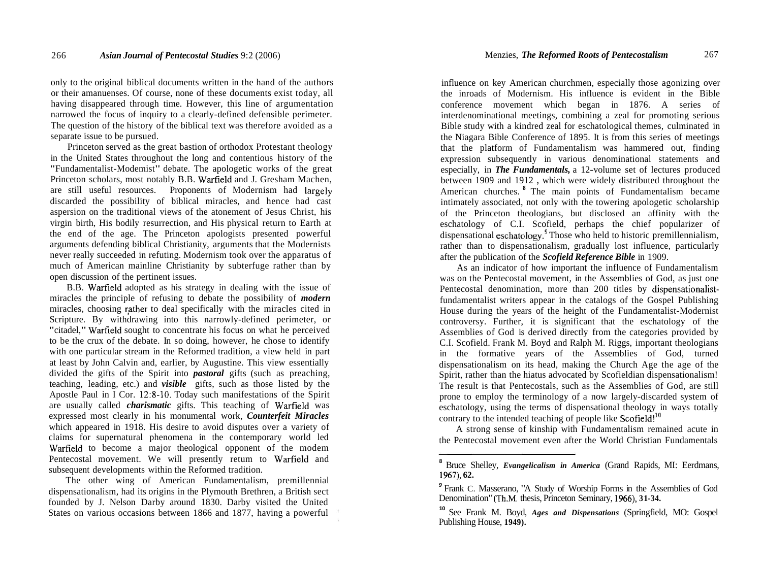only to the original biblical documents written in the hand of the authors or their amanuenses. Of course, none of these documents exist today, all having disappeared through time. However, this line of argumentation narrowed the focus of inquiry to a clearly-defined defensible perimeter. The question of the history of the biblical text was therefore avoided as a separate issue to be pursued.

Princeton served as the great bastion of orthodox Protestant theology in the United States throughout the long and contentious history of the "Fundamentalist-Modemist" debate. The apologetic works of the great Princeton scholars, most notably B.B. Warfield and J. Gresham Machen, are still useful resources. Proponents of Modernism had largely discarded the possibility of biblical miracles, and hence had cast aspersion on the traditional views of the atonement of Jesus Christ, his virgin birth, His bodily resurrection, and His physical return to Earth at the end of the age. The Princeton apologists presented powerful arguments defending biblical Christianity, arguments that the Modernists never really succeeded in refuting. Modernism took over the apparatus of much of American mainline Christianity by subterfuge rather than by open discussion of the pertinent issues.

B.B. Warfield adopted as his strategy in dealing with the issue of miracles the principle of refusing to debate the possibility of *modern*  miracles, choosing rather to deal specifically with the miracles cited in Scripture. By withdrawing into this narrowly-defined perimeter, or "citadel," Warfield sought to concentrate his focus on what he perceived to be the crux of the debate. In so doing, however, he chose to identify with one particular stream in the Reformed tradition, a view held in part at least by John Calvin and, earlier, by Augustine. This view essentially divided the gifts of the Spirit into *pastoral* gifts (such as preaching, teaching, leading, etc.) and *visible* gifts, such as those listed by the Apostle Paul in I Cor. 12:8-10. Today such manifestations of the Spirit are usually called *charismatic* gifts. This teaching of Warfield was expressed most clearly in his monumental work, *Counterfeit Miracles*  which appeared in 1918. His desire to avoid disputes over a variety of claims for supernatural phenomena in the contemporary world led Warfield to become a major theological opponent of the modem Pentecostal movement. We will presently retum to Warfield and subsequent developments within the Reformed tradition.

The other wing of American Fundamentalism, premillennial dispensationalism, had its origins in the Plymouth Brethren, a British sect founded by J. Nelson Darby around 1830. Darby visited the United States on various occasions between 1866 and 1877, having a powerful

influence on key American churchmen, especially those agonizing over the inroads of Modernism. His influence is evident in the Bible conference movement which began in 1876. A series of interdenominational meetings, combining a zeal for promoting serious Bible study with a kindred zeal for eschatological themes, culminated in the Niagara Bible Conference of 1895. It is from this series of meetings that the platform of Fundamentalism was hammered out, finding expression subsequently in various denominational statements and especially, in *The Fundamentals,* a 12-volume set of lectures produced between 1909 and 1912 , which were widely distributed throughout the American churches. <sup>8</sup> The main points of Fundamentalism became intimately associated, not only with the towering apologetic scholarship of the Princeton theologians, but disclosed an affinity with the eschatology of C.I. Scofield, perhaps the chief popularizer of dispensational eschatology.9 Those who held to historic premillennialism, rather than to dispensationalism, gradually lost influence, particularly after the publication of the *Scofield Reference Bible* in 1909.

As an indicator of how important the influence of Fundamentalism was on the Pentecostal movement, in the Assemblies of God, as just one Pentecostal denomination, more than 200 titles by dispensationalistfundamentalist writers appear in the catalogs of the Gospel Publishing House during the years of the height of the Fundamentalist-Modernist controversy. Further, it is significant that the eschatology of the Assemblies of God is derived directly from the categories provided by C.I. Scofield. Frank M. Boyd and Ralph M. Riggs, important theologians in the formative years of the Assemblies of God, turned dispensationalism on its head, making the Church Age the age of the Spirit, rather than the hiatus advocated by Scofieldian dispensationalism! The result is that Pentecostals, such as the Assemblies of God, are still prone to employ the terminology of a now largely-discarded system of eschatology, using the terms of dispensational theology in ways totally contrary to the intended teaching of people like  $Scofield!$ <sup>10</sup>

A strong sense of kinship with Fundamentalism remained acute in the Pentecostal movement even after the World Christian Fundamentals

**<sup>8</sup>**Bruce Shelley, *Evangelicalism in America* (Grand Rapids, MI: Eerdmans, **1967), 62.** 

**<sup>9</sup>**Frank C. Masserano, "A Study of Worship Forms in the Assemblies of God Denomination" (Th.M. thesis, Princeton Seminary, **1966), 3 1-34.** 

**<sup>10</sup>**See Frank M. Boyd, *Ages and Dispensations* (Springfield, MO: Gospel Publishing House, **1949).**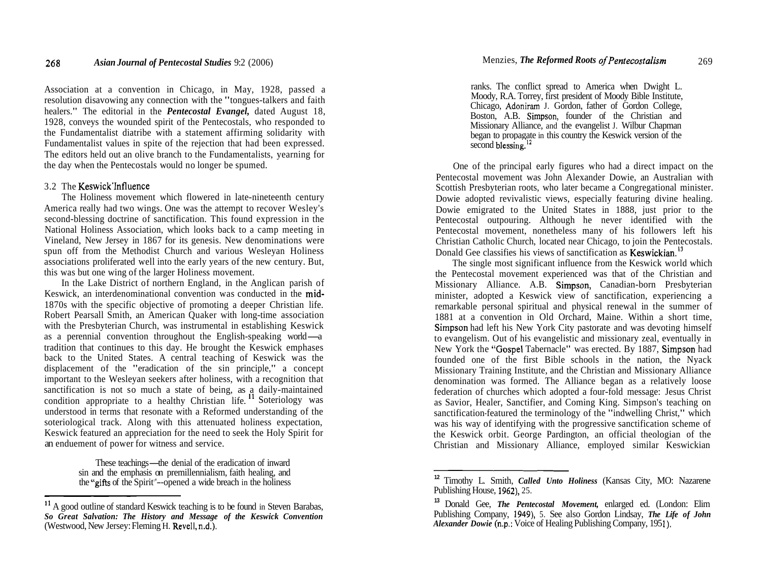Association at a convention in Chicago, in May, 1928, passed a resolution disavowing any connection with the "tongues-talkers and faith healers." The editorial in the *Pentecostal Evangel,* dated August 18, 1928, conveys the wounded spirit of the Pentecostals, who responded to the Fundamentalist diatribe with a statement affirming solidarity with Fundamentalist values in spite of the rejection that had been expressed. The editors held out an olive branch to the Fundamentalists, yearning for the day when the Pentecostals would no longer be spumed.

# 3.2 The Keswick'lnfluence

The Holiness movement which flowered in late-nineteenth century America really had two wings. One was the attempt to recover Wesley's second-blessing doctrine of sanctification. This found expression in the National Holiness Association, which looks back to a camp meeting in Vineland, New Jersey in 1867 for its genesis. New denominations were spun off from the Methodist Church and various Wesleyan Holiness associations proliferated well into the early years of the new century. But, this was but one wing of the larger Holiness movement.

In the Lake District of northern England, in the Anglican parish of Keswick, an interdenominational convention was conducted in the mid-1870s with the specific objective of promoting a deeper Christian life. Robert Pearsall Smith, an American Quaker with long-time association with the Presbyterian Church, was instrumental in establishing Keswick Robert Pearsall Smith, an American Quaker with long-time association<br>with the Presbyterian Church, was instrumental in establishing Keswick<br>as a perennial convention throughout the English-speaking world—a<br>tradition that c tradition that continues to this day. He brought the Keswick emphases back to the United States. A central teaching of Keswick was the displacement of the "eradication of the sin principle," a concept important to the Wesleyan seekers after holiness, with a recognition that sanctification is not so much a state of being, as a daily-maintained condition appropriate to a healthy Christian life. <sup>11</sup> Soteriology was understood in terms that resonate with a Reformed understanding of the soteriological track. Along with this attenuated holiness expectation, Keswick featured an appreciation for the need to seek the Holy Spirit for an enduement of power for witness and service.

> These teachings—the denial of the eradication of inward sin and the emphasis on premillennialism, faith healing, and the "gifts of the Spirit"--opened a wide breach in the holiness

ranks. The conflict spread to America when Dwight L. Moody, R.A. Torrey, first president of Moody Bible Institute, Chicago, Adoniram J. Gordon, father of Gordon College, Boston, A.B. Simpson, founder of the Christian and Missionary Alliance, and the evangelist J. Wilbur Chapman began to propagate in this country the Keswick version of the second blessing.<sup>12</sup>

One of the principal early figures who had a direct impact on the Pentecostal movement was John Alexander Dowie, an Australian with Scottish Presbyterian roots, who later became a Congregational minister. Dowie adopted revivalistic views, especially featuring divine healing. Dowie emigrated to the United States in 1888, just prior to the Pentecostal outpouring. Although he never identified with the Pentecostal movement, nonetheless many of his followers left his Christian Catholic Church, located near Chicago, to join the Pentecostals. Donald Gee classifies his views of sanctification as  $K$ eswickian.<sup>13</sup>

The single most significant influence from the Keswick world which the Pentecostal movement experienced was that of the Christian and Missionary Alliance. A.B. Simpson, Canadian-born Presbyterian minister, adopted a Keswick view of sanctification, experiencing a remarkable personal spiritual and physical renewal in the summer of 1881 at a convention in Old Orchard, Maine. Within a short time, Simpson had left his New York City pastorate and was devoting himself to evangelism. Out of his evangelistic and missionary zeal, eventually in New York the "Gospel Tabernacle" was erected. By 1887, Simpson had founded one of the first Bible schools in the nation, the Nyack Missionary Training Institute, and the Christian and Missionary Alliance denomination was formed. The Alliance began as a relatively loose federation of churches which adopted a four-fold message: Jesus Christ as Savior, Healer, Sanctifier, and Coming King. Simpson's teaching on sanctification-featured the terminology of the "indwelling Christ," which was his way of identifying with the progressive sanctification scheme of the Keswick orbit. George Pardington, an official theologian of the Christian and Missionary Alliance, employed similar Keswickian

<sup>&</sup>lt;sup>11</sup> A good outline of standard Keswick teaching is to be found in Steven Barabas, *So Great Salvation: The History and Message of the Keswick Convention*  (Westwood, New Jersey: Fleming H. Revell, n.d.).

**<sup>12</sup>**Timothy L. Smith, *Called Unto Holiness* (Kansas City, MO: Nazarene Publishing House, 1962), 25.

**<sup>13</sup>**Donald Gee, *The Pentecostal Movement,* enlarged ed. (London: Elim Publishing Company, 1949), 5. See also Gordon Lindsay, *The Life of John Alexander Dowie* (n.p.: Voice of Healing Publishing Company, 195 **1).**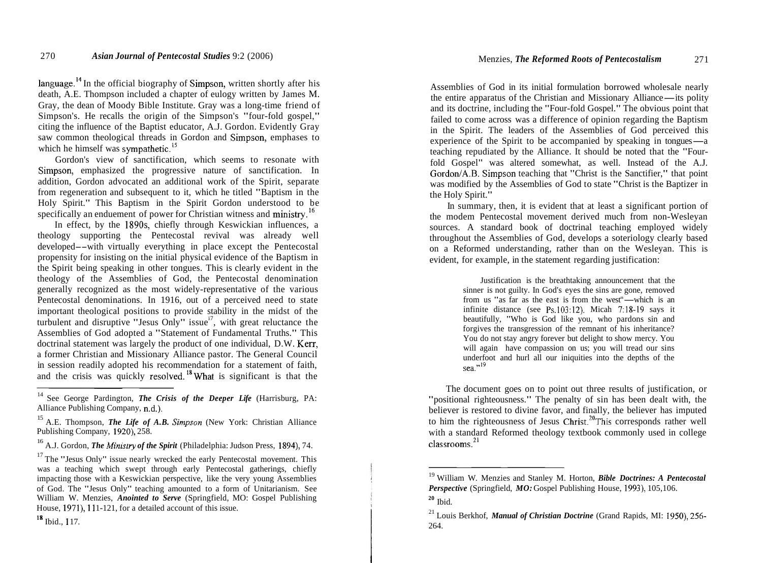language.<sup>14</sup> In the official biography of Simpson, written shortly after his death, A.E. Thompson included a chapter of eulogy written by James M. Gray, the dean of Moody Bible Institute. Gray was a long-time friend of Simpson's. He recalls the origin of the Simpson's "four-fold gospel," citing the influence of the Baptist educator, A.J. Gordon. Evidently Gray saw common theological threads in Gordon and Simpson, emphases to which he himself was sympathetic.<sup>15</sup>

Gordon's view of sanctification, which seems to resonate with Simpson, emphasized the progressive nature of sanctification. In addition, Gordon advocated an additional work of the Spirit, separate from regeneration and subsequent to it, which he titled "Baptism in the Holy Spirit." This Baptism in the Spirit Gordon understood to be specifically an enduement of power for Christian witness and ministry.<sup>16</sup>

In effect, by the 1890s, chiefly through Keswickian influences, a theology supporting the Pentecostal revival was already well developed--with virtually everything in place except the Pentecostal propensity for insisting on the initial physical evidence of the Baptism in the Spirit being speaking in other tongues. This is clearly evident in the theology of the Assemblies of God, the Pentecostal denomination generally recognized as the most widely-representative of the various Pentecostal denominations. In 1916, out of a perceived need to state important theological positions to provide stability in the midst of the turbulent and disruptive "Jesus Only" issue $i^7$ , with great reluctance the Assemblies of God adopted a "Statement of Fundamental Truths." This doctrinal statement was largely the product of one individual, D.W. Kerr, a former Christian and Missionary Alliance pastor. The General Council in session readily adopted his recommendation for a statement of faith, and the crisis was quickly resolved.<sup>18</sup> What is significant is that the

Assemblies of God in its initial formulation borrowed wholesale nearly Assemblies of God in its initial formulation borrowed wholesale nearly<br>the entire apparatus of the Christian and Missionary Alliance—its polity<br>and its doctrine, including the "Four-fold Gospel." The obvious point that and its doctrine, including the "Four-fold Gospel." The obvious point that failed to come across was a difference of opinion regarding the Baptism in the Spirit. The leaders of the Assemblies of God perceived this experience of the Spirit to be accompanied by speaking in tongues-a teaching repudiated by the Alliance. It should be noted that the "Fourfold Gospel" was altered somewhat, as well. Instead of the A.J. Gordon/A.B. Simpson teaching that "Christ is the Sanctifier," that point was modified by the Assemblies of God to state "Christ is the Baptizer in the Holy Spirit."

In summary, then, it is evident that at least a significant portion of the modem Pentecostal movement derived much from non-Wesleyan sources. A standard book of doctrinal teaching employed widely throughout the Assemblies of God, develops a soteriology clearly based on a Reformed understanding, rather than on the Wesleyan. This is evident, for example, in the statement regarding justification:

> Justification is the breathtaking announcement that the r is not guilty. In God's eyes the sins are gone, removed us "as far as the east is from the west"—which is an ite distance (see Ps  $103:12$ ) Micah  $7:18:19$  says it sinner is not guilty. In God's eyes the sins are gone, removed from us "as far as the east is from the west"—which is an infinite distance (see Ps.103:12). Micah 7:18-19 says it beautifully, "Who is God like you, who pardons sin and forgives the transgression of the remnant of his inheritance? You do not stay angry forever but delight to show mercy. You will again have compassion on us; you will tread our sins underfoot and hurl all our iniquities into the depths of the sea." $^{19}$

The document goes on to point out three results of justification, or "positional righteousness." The penalty of sin has been dealt with, the believer is restored to divine favor, and finally, the believer has imputed to him the righteousness of Jesus  $Christ.^{20}$ This corresponds rather well with a standard Reformed theology textbook commonly used in college  $classrooms.^{21}$ 

<sup>&</sup>lt;sup>14</sup> See George Pardington, *The Crisis of the Deeper Life* (Harrisburg, PA: Alliance Publishing Company, n.d.).

<sup>15</sup> A.E. Thompson, *The Life of A.B. Simpson* (New York: Christian Alliance Publishing Company, 1920), 258.

<sup>16</sup> A.J. Gordon, *The Minjstry of the Spirit* (Philadelphia: Judson Press, 1894), 74.

 $17$  The "Jesus Only" issue nearly wrecked the early Pentecostal movement. This was a teaching which swept through early Pentecostal gatherings, chiefly impacting those with a Keswickian perspective, like the very young Assemblies of God. The "Jesus Only" teaching amounted to a form of Unitarianism. See William W. Menzies, *Anointed to Serve* (Springfield, MO: Gospel Publishing House, 1971), 111-121, for a detailed account of this issue.

**<sup>18</sup>**Ibid., 1 17.

<sup>19</sup> William W. Menzies and Stanley M. Horton, *Bible Doctrines: A Pentecostal Perspective* (Springfield, *MO:* Gospel Publishing House, 1993), 105,106.

<sup>&</sup>lt;sup>20</sup> Ibid.

<sup>&</sup>lt;sup>21</sup> Louis Berkhof, *Manual of Christian Doctrine* (Grand Rapids, MI: 1950), 256-264.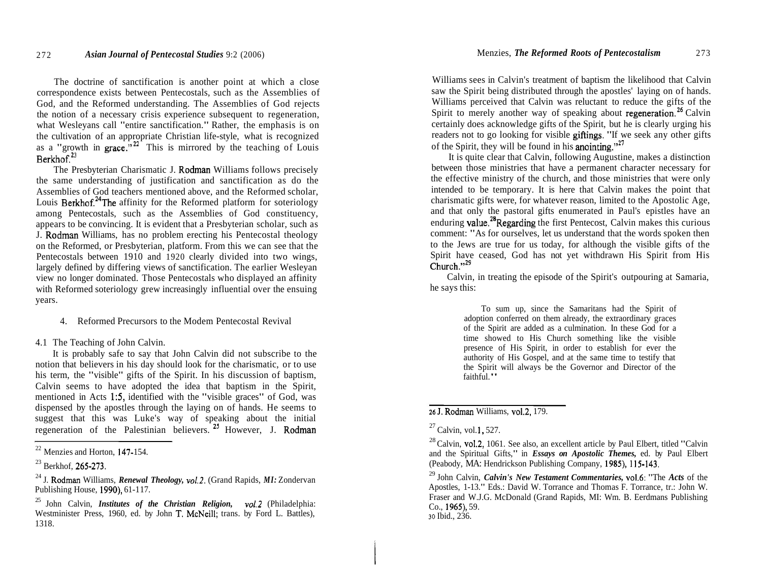The doctrine of sanctification is another point at which a close correspondence exists between Pentecostals, such as the Assemblies of God, and the Reformed understanding. The Assemblies of God rejects the notion of a necessary crisis experience subsequent to regeneration, what Wesleyans call "entire sanctification." Rather, the emphasis is on the cultivation of an appropriate Christian life-style, what is recognized as a "growth in grace."<sup>22</sup> This is mirrored by the teaching of Louis  $Berkhof.<sup>23</sup>$ 

The Presbyterian Charismatic J. Rodman Williams follows precisely the same understanding of justification and sanctification as do the Assemblies of God teachers mentioned above, and the Reformed scholar, Louis Berkhof.<sup>24</sup>The affinity for the Reformed platform for soteriology among Pentecostals, such as the Assemblies of God constituency, appears to be convincing. It is evident that a Presbyterian scholar, such as J. Rodman Williams, has no problem erecting his Pentecostal theology on the Reformed, or Presbyterian, platform. From this we can see that the Pentecostals between 1910 and 1920 clearly divided into two wings, largely defined by differing views of sanctification. The earlier Wesleyan view no longer dominated. Those Pentecostals who displayed an affinity with Reformed soteriology grew increasingly influential over the ensuing years.

4. Reformed Precursors to the Modem Pentecostal Revival

4.1 The Teaching of John Calvin.

It is probably safe to say that John Calvin did not subscribe to the notion that believers in his day should look for the charismatic, or to use his term, the "visible" gifts of the Spirit. In his discussion of baptism, Calvin seems to have adopted the idea that baptism in the Spirit, mentioned in Acts 1:5, identified with the "visible graces" of God, was dispensed by the apostles through the laying on of hands. He seems to suggest that this was Luke's way of speaking about the initial regeneration of the Palestinian believers. <sup>25</sup> However, J. Rodman

Williams sees in Calvin's treatment of baptism the likelihood that Calvin saw the Spirit being distributed through the apostles' laying on of hands. Williams perceived that Calvin was reluctant to reduce the gifts of the Spirit to merely another way of speaking about regeneration.<sup>26</sup> Calvin certainly does acknowledge gifts of the Spirit, but he is clearly urging his readers not to go looking for visible giftings. "If we seek any other gifts of the Spirit, they will be found in his anointing."27

It is quite clear that Calvin, following Augustine, makes a distinction between those ministries that have a permanent character necessary for the effective ministry of the church, and those ministries that were only intended to be temporary. It is here that Calvin makes the point that charismatic gifts were, for whatever reason, limited to the Apostolic Age, and that only the pastoral gifts enumerated in Paul's epistles have an enduring value.<sup>28</sup>Regarding the first Pentecost, Calvin makes this curious comment: "As for ourselves, let us understand that the words spoken then to the Jews are true for us today, for although the visible gifts of the Spirit have ceased, God has not yet withdrawn His Spirit from His  $Church$ <sup> $, 29$ </sup>

Calvin, in treating the episode of the Spirit's outpouring at Samaria, he says this:

> To sum up, since the Samaritans had the Spirit of adoption conferred on them already, the extraordinary graces of the Spirit are added as a culmination. In these God for a time showed to His Church something like the visible presence of His Spirit, in order to establish for ever the authority of His Gospel, and at the same time to testify that the Spirit will always be the Governor and Director of the faithful."

26 J. Rodman Williams, vo1.2, 179.

 $22$  Menzies and Horton, 147-154.

 $^{23}$  Berkhof, 265-273.

<sup>24</sup> J. Rodman Williams, *Renewal Theology, vol.2.* (Grand Rapids, *MI:* Zondervan Publishing House, 1990), 61-1 17.

<sup>25</sup> John Calvin, *Institutes of the Christian Religion, v01.2* (Philadelphia: Westminister Press, 1960, ed. by John T. McNeill; trans. by Ford L. Battles), 1318.

 $^{27}$  Calvin, vol. 1, 527.

 $^{28}$  Calvin, vol.2, 1061. See also, an excellent article by Paul Elbert, titled "Calvin" and the Spiritual Gifts," in *Essays on Apostolic Themes,* ed. by Paul Elbert (Peabody, MA: Hendrickson Publishing Company, 1985), **1** 15-143.

<sup>29</sup> John Calvin, *Calvin's New Testament Commentaries,* vo1.6: "The *Acts* of the Apostles, 1-13." Eds.: David W. Torrance and Thomas F. Torrance, tr.: John W. Fraser and W.J.G. McDonald (Grand Rapids, MI: Wm. B. Eerdmans Publishing Co., 1965), 59. **30** Ibid., 236.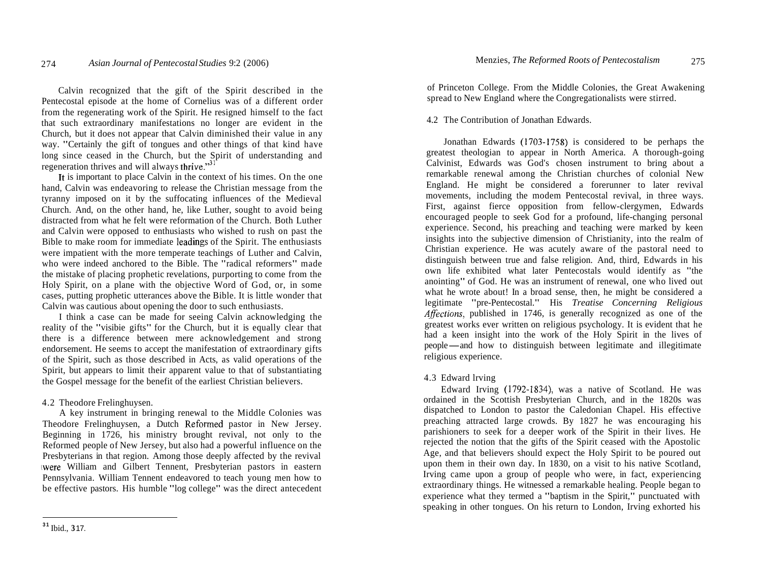Calvin recognized that the gift of the Spirit described in the Pentecostal episode at the home of Cornelius was of a different order from the regenerating work of the Spirit. He resigned himself to the fact that such extraordinary manifestations no longer are evident in the Church, but it does not appear that Calvin diminished their value in any way. "Certainly the gift of tongues and other things of that kind have long since ceased in the Church, but the Spirit of understanding and regeneration thrives and will always thrive." $31$ 

It is important to place Calvin in the context of his times. On the one hand, Calvin was endeavoring to release the Christian message from the tyranny imposed on it by the suffocating influences of the Medieval Church. And, on the other hand, he, like Luther, sought to avoid being distracted from what he felt were reformation of the Church. Both Luther and Calvin were opposed to enthusiasts who wished to rush on past the Bible to make room for immediate leadings of the Spirit. The enthusiasts were impatient with the more temperate teachings of Luther and Calvin, who were indeed anchored to the Bible. The "radical reformers" made the mistake of placing prophetic revelations, purporting to come from the Holy Spirit, on a plane with the objective Word of God, or, in some cases, putting prophetic utterances above the Bible. It is little wonder that Calvin was cautious about opening the door to such enthusiasts.

I think a case can be made for seeing Calvin acknowledging the reality of the "visibie gifts" for the Church, but it is equally clear that there is a difference between mere acknowledgement and strong endorsement. He seems to accept the manifestation of extraordinary gifts of the Spirit, such as those described in Acts, as valid operations of the Spirit, but appears to limit their apparent value to that of substantiating the Gospel message for the benefit of the earliest Christian believers.

# 4.2 Theodore Frelinghuysen.

A key instrument in bringing renewal to the Middle Colonies was Theodore Frelinghuysen, a Dutch Reformed pastor in New Jersey. Beginning in 1726, his ministry brought revival, not only to the Reformed people of New Jersey, but also had a powerful influence on the Presbyterians in that region. Among those deeply affected by the revival \were William and Gilbert Tennent, Presbyterian pastors in eastern Pennsylvania. William Tennent endeavored to teach young men how to be effective pastors. His humble "log college" was the direct antecedent of Princeton College. From the Middle Colonies, the Great Awakening spread to New England where the Congregationalists were stirred.

### 4.2 The Contribution of Jonathan Edwards.

Jonathan Edwards (1703-1758) is considered to be perhaps the greatest theologian to appear in North America. A thorough-going Calvinist, Edwards was God's chosen instrument to bring about a remarkable renewal among the Christian churches of colonial New England. He might be considered a forerunner to later revival movements, including the modem Pentecostal revival, in three ways. First, against fierce opposition from fellow-clergymen, Edwards encouraged people to seek God for a profound, life-changing personal experience. Second, his preaching and teaching were marked by keen insights into the subjective dimension of Christianity, into the realm of Christian experience. He was acutely aware of the pastoral need to distinguish between true and false religion. And, third, Edwards in his own life exhibited what later Pentecostals would identify as "the anointing" of God. He was an instrument of renewal, one who lived out what he wrote about! In a broad sense, then, he might be considered a legitimate "pre-Pentecostal." His *Treatise Concerning Religious Afections,* published in 1746, is generally recognized as one of the greatest works ever written on religious psychology. It is evident that he had a keen insight into the work of the Holy Spirit in the lives of greatest works ever written on religious psychology. It is evident that he had a keen insight into the work of the Holy Spirit in the lives of people—and how to distinguish between legitimate and illegitimate religious exp religious experience.

# 4.3 Edward lrving

Edward Irving (1792-1834), was a native of Scotland. He was ordained in the Scottish Presbyterian Church, and in the 1820s was dispatched to London to pastor the Caledonian Chapel. His effective preaching attracted large crowds. By 1827 he was encouraging his parishioners to seek for a deeper work of the Spirit in their lives. He rejected the notion that the gifts of the Spirit ceased with the Apostolic Age, and that believers should expect the Holy Spirit to be poured out upon them in their own day. In 1830, on a visit to his native Scotland, Irving came upon a group of people who were, in fact, experiencing extraordinary things. He witnessed a remarkable healing. People began to experience what they termed a "baptism in the Spirit," punctuated with speaking in other tongues. On his return to London, Irving exhorted his

**<sup>31</sup>**Ibid., **3** 17.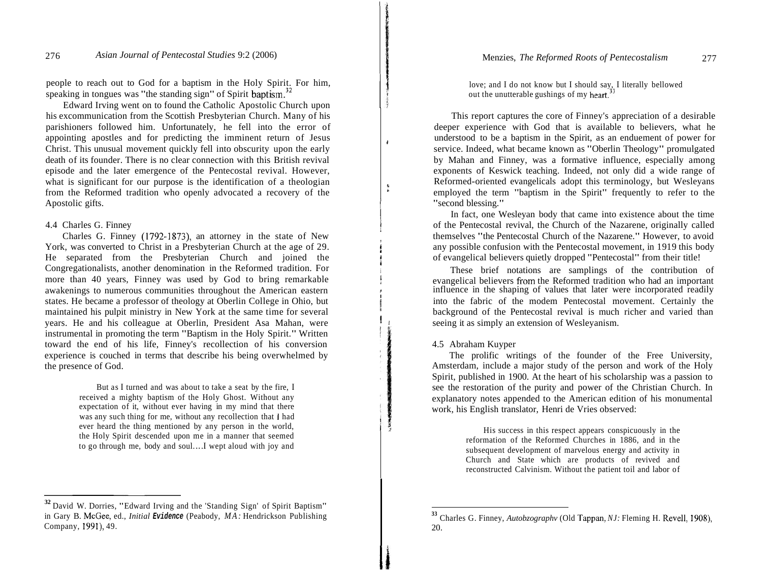people to reach out to God for a baptism in the Holy Spirit. For him, speaking in tongues was "the standing sign" of Spirit baptism.<sup>32</sup>

Edward Irving went on to found the Catholic Apostolic Church upon his excommunication from the Scottish Presbyterian Church. Many of his parishioners followed him. Unfortunately, he fell into the error of appointing apostles and for predicting the imminent return of Jesus Christ. This unusual movement quickly fell into obscurity upon the early death of its founder. There is no clear connection with this British revival episode and the later emergence of the Pentecostal revival. However, what is significant for our purpose is the identification of a theologian from the Reformed tradition who openly advocated a recovery of the Apostolic gifts.

### 4.4 Charles G. Finney

Charles G. Finney (1792-1873), an attorney in the state of New York, was converted to Christ in a Presbyterian Church at the age of 29. He separated from the Presbyterian Church and joined the Congregationalists, another denomination in the Reformed tradition. For more than 40 years, Finney was used by God to bring remarkable awakenings to numerous communities throughout the American eastern states. He became a professor of theology at Oberlin College in Ohio, but maintained his pulpit ministry in New York at the same time for several years. He and his colleague at Oberlin, President Asa Mahan, were instrumental in promoting the term "Baptism in the Holy Spirit." Written toward the end of his life, Finney's recollection of his conversion experience is couched in terms that describe his being overwhelmed by the presence of God.

> But as I turned and was about to take a seat by the fire, I received a mighty baptism of the Holy Ghost. Without any expectation of it, without ever having in my mind that there was any such thing for me, without any recollection that **1** had ever heard the thing mentioned by any person in the world, the Holy Spirit descended upon me in a manner that seemed to go through me, body and soul....I wept aloud with joy and

love; and I do not know but I should say, I literally bellowed out the unutterable gushings of my heart.<sup>33</sup>

This report captures the core of Finney's appreciation of a desirable deeper experience with God that is available to believers, what he understood to be a baptism in the Spirit, as an enduement of power for service. Indeed, what became known as "Oberlin Theology" promulgated by Mahan and Finney, was a formative influence, especially among exponents of Keswick teaching. Indeed, not only did a wide range of Reformed-oriented evangelicals adopt this terminology, but Wesleyans employed the term "baptism in the Spirit" frequently to refer to the "second blessing."

In fact, one Wesleyan body that came into existence about the time of the Pentecostal revival, the Church of the Nazarene, originally called themselves "the Pentecostal Church of the Nazarene." However, to avoid any possible confusion with the Pentecostal movement, in 1919 this body <sup>i</sup>of evangelical believers quietly dropped "Pentecostal" from their title!

These brief notations are samplings of the contribution of ! evangelical believers from the Reformed tradition who had an important influence in the shaping of values that later were incorporated readily into the fabric of the modem Pentecostal movement. Certainly the background of the Pentecostal revival is much richer and varied than seeing it as simply an extension of Wesleyanism.

### 4.5 Abraham Kuyper

The prolific writings of the founder of the Free University, Amsterdam, include a major study of the person and work of the Holy Spirit, published in 1900. At the heart of his scholarship was a passion to see the restoration of the purity and power of the Christian Church. In explanatory notes appended to the American edition of his monumental work, his English translator, Henri de Vries observed:

> His success in this respect appears conspicuously in the reformation of the Reformed Churches in 1886, and in the subsequent development of marvelous energy and activity in Church and State which are products of revived and reconstructed Calvinism. Without the patient toil and labor of

**<sup>32</sup>**David W. Dorries, "Edward Irving and the 'Standing Sign' of Spirit Baptism" in Gary B. McGee, ed., *Initial* **Evidence** (Peabody, *MA:* Hendrickson Publishing Company, 1991), 49.

**<sup>33</sup>**Charles G. Finney, *Autobzographv* (Old Tappan, *NJ:* Fleming H. Revell, 1908), 20.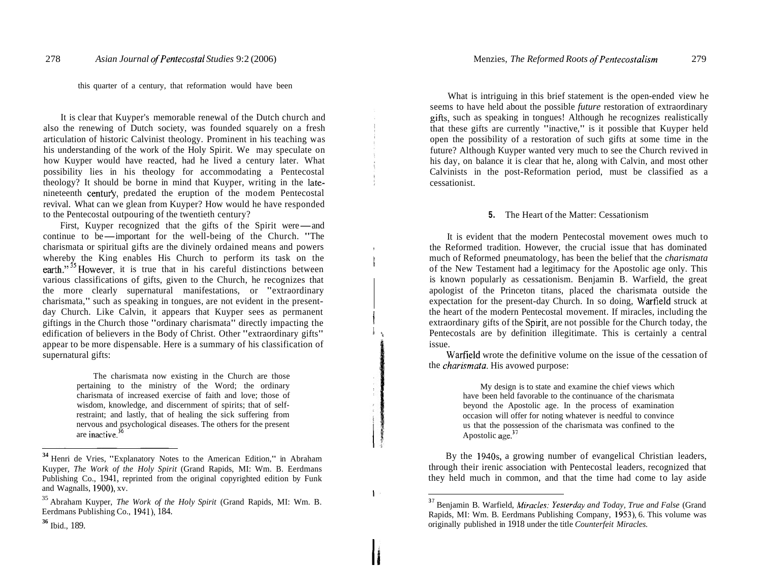this quarter of a century, that reformation would have been

It is clear that Kuyper's memorable renewal of the Dutch church and also the renewing of Dutch society, was founded squarely on a fresh articulation of historic Calvinist theology. Prominent in his teaching was his understanding of the work of the Holy Spirit. We may speculate on how Kuyper would have reacted, had he lived a century later. What possibility lies in his theology for accommodating a Pentecostal theology? It should be borne in mind that Kuyper, writing in the latenineteenth centufy, predated the eruption of the modem Pentecostal revival. What can we glean from Kuyper? How would he have responded<br>to the Pentecostal outpouring of the twentieth century?<br>First, Kuyper recognized that the gifts of the Spirit were—and<br>continue to be—important for the we to the Pentecostal outpouring of the twentieth century?

First, Kuyper recognized that the gifts of the Spirit were—and continue to be—important for the well-being of the Church. "The charismata or spiritual gifts are the divinely ordained means and powers whereby the King enables His Church to perform its task on the earth."<sup>35</sup> However, it is true that in his careful distinctions between various classifications of gifts, given to the Church, he recognizes that the more clearly supernatural manifestations, or "extraordinary charismata," such as speaking in tongues, are not evident in the presentday Church. Like Calvin, it appears that Kuyper sees as permanent giftings in the Church those "ordinary charismata" directly impacting the edification of believers in the Body of Christ. Other "extraordinary gifts" appear to be more dispensable. Here is a summary of his classification of supernatural gifts:

> The charismata now existing in the Church are those pertaining to the ministry of the Word; the ordinary charismata of increased exercise of faith and love; those of wisdom, knowledge, and discernment of spirits; that of selfrestraint; and lastly, that of healing the sick suffering from nervous and psychological diseases. The others for the present are inactive. $36$

What is intriguing in this brief statement is the open-ended view he seems to have held about the possible *future* restoration of extraordinary gifts, such as speaking in tongues! Although he recognizes realistically that these gifts are currently "inactive," is it possible that Kuyper held open the possibility of a restoration of such gifts at some time in the future? Although Kuyper wanted very much to see the Church revived in his day, on balance it is clear that he, along with Calvin, and most other Calvinists in the post-Reformation period, must be classified as a cessationist.

### **5.** The Heart of the Matter: Cessationism

It is evident that the modern Pentecostal movement owes much to , the Reformed tradition. However, the crucial issue that has dominated much of Reformed pneumatology, has been the belief that the *charismata* of the New Testament had a legitimacy for the Apostolic age only. This is known popularly as cessationism. Benjamin B. Warfield, the great apologist of the Princeton titans, placed the charismata outside the expectation for the present-day Church. In so doing, Warfield struck at the heart of the modern Pentecostal movement. If miracles, including the extraordinary gifts of the Spirit, are not possible for the Church today, the Pentecostals are by definition illegitimate. This is certainly a central issue.

Warfield wrote the definitive volume on the issue of the cessation of the *charismata*. His avowed purpose:

> My design is to state and examine the chief views which have been held favorable to the continuance of the charismata beyond the Apostolic age. In the process of examination occasion will offer for noting whatever is needful to convince us that the possession of the charismata was confined to the Apostolic age.<sup>37</sup>

By the 1940s, a growing number of evangelical Christian leaders, through their irenic association with Pentecostal leaders, recognized that they held much in common, and that the time had come to lay aside

 $\sim$ 

<sup>&</sup>lt;sup>34</sup> Henri de Vries, "Explanatory Notes to the American Edition," in Abraham Kuyper, *The Work of the Holy Spirit* (Grand Rapids, MI: Wm. B. Eerdmans Publishing Co., 1941, reprinted from the original copyrighted edition by Funk and Wagnalls, 1900), xv.

<sup>35</sup> Abraham Kuyper, *The Work of the Holy Spirit* (Grand Rapids, MI: Wm. B. Eerdmans Publishing Co., 1941), 184.

**<sup>36</sup>**Ibid., 189.

<sup>&</sup>lt;sup>37</sup> Benjamin B. Warfield, *Miracles: Yesterday and Today, True and False* (Grand Rapids, MI: Wm. B. Eerdmans Publishing Company, 1953), 6. This volume was originally published in 1918 under the title *Counterfeit Miracles.*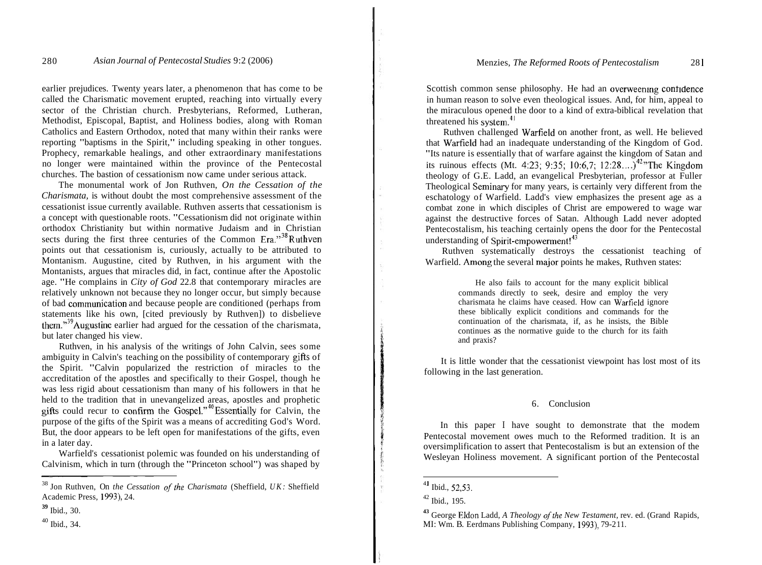earlier prejudices. Twenty years later, a phenomenon that has come to be called the Charismatic movement erupted, reaching into virtually every sector of the Christian church. Presbyterians, Reformed, Lutheran, Methodist, Episcopal, Baptist, and Holiness bodies, along with Roman Catholics and Eastern Orthodox, noted that many within their ranks were reporting "baptisms in the Spirit," including speaking in other tongues. Prophecy, remarkable healings, and other extraordinary manifestations no longer were maintained within the province of the Pentecostal churches. The bastion of cessationism now came under serious attack.

The monumental work of Jon Ruthven, *On the Cessation of the Charismata,* is without doubt the most comprehensive assessment of the cessationist issue currently available. Ruthven asserts that cessationism is a concept with questionable roots. "Cessationism did not originate within orthodox Christianity but within normative Judaism and in Christian sects during the first three centuries of the Common  $_{\text{Era.}}$ <sup>38</sup>Ruthven points out that cessationism is, curiously, actually to be attributed to Montanism. Augustine, cited by Ruthven, in his argument with the Montanists, argues that miracles did, in fact, continue after the Apostolic age. "He complains in *City of God* 22.8 that contemporary miracles are relatively unknown not because they no longer occur, but simply because of bad comrnunication and because people are conditioned (perhaps from statements like his own, [cited previously by Ruthven]) to disbelieve them." $39$ Augustine earlier had argued for the cessation of the charismata, but later changed his view.

Ruthven, in his analysis of the writings of John Calvin, sees some ambiguity in Calvin's teaching on the possibility of contemporary gifis of the Spirit. "Calvin popularized the restriction of miracles to the accreditation of the apostles and specifically to their Gospel, though he was less rigid about cessationism than many of his followers in that he held to the tradition that in unevangelized areas, apostles and prophetic gifts could recur to confirm the  $\ddot{\text{Gospel}}$ ."<sup>40</sup>Essentially for Calvin, the purpose of the gifts of the Spirit was a means of accrediting God's Word. But, the door appears to be left open for manifestations of the gifts, even in a later day.

Warfield's cessationist polemic was founded on his understanding of Calvinism, which in turn (through the "Princeton school") was shaped by

Scottish common sense philosophy. He had an overweening confidence in human reason to solve even theological issues. And, for him, appeal to the miraculous opened the door to a kind of extra-biblical revelation that threatened his system.4'

Ruthven challenged Warfield on another front, as well. He believed that Warfield had an inadequate understanding of the Kingdom of God. "Its nature is essentially that of warfare against the kingdom of Satan and its ruinous effects (Mt. 4:23; 9:35; 10:6,7; 12:28....)<sup>42</sup><sup>2</sup>The Kingdom theology of G.E. Ladd, an evangelical Presbyterian, professor at Fuller Theological Seminary for many years, is certainly very different from the eschatology of Warfield. Ladd's view emphasizes the present age as a combat zone in which disciples of Christ are empowered to wage war against the destructive forces of Satan. Although Ladd never adopted Pentecostalism, his teaching certainly opens the door for the Pentecostal understanding of Spirit-empowerment!<sup>43</sup>

Ruthven systematically destroys the cessationist teaching of Warfield. Among the several major points he makes, Ruthven states:

> He also fails to account for the many explicit biblical commands directly to seek, desire and employ the very charismata he claims have ceased. How can Warfield ignore these biblically explicit conditions and commands for the continuation of the charismata, if, as he insists, the Bible continues as the normative guide to the church for its faith and praxis?

It is little wonder that the cessationist viewpoint has lost most of its following in the last generation.

#### 6. Conclusion

In this paper I have sought to demonstrate that the modem Pentecostal movement owes much to the Reformed tradition. It is an oversimplification to assert that Pentecostalism is but an extension of the Wesleyan Holiness movement. A significant portion of the Pentecostal

<sup>&</sup>lt;sup>38</sup> Jon Ruthven, On *the Cessation of the Charismata* (Sheffield, *UK: Sheffield* Academic Press, 1993), 24.

**<sup>39</sup>**Ibid., 30.

<sup>40</sup> Ibid., 34.

<sup>4</sup>**<sup>1</sup>**Ibid., 52,53.

 $42$  Ibid., 195.

<sup>&</sup>lt;sup>43</sup> George Eldon Ladd, *A Theology of the New Testament*, rev. ed. (Grand Rapids, MI: Wm. B. Eerdmans Publishing Company, 1993), 79-2 11.